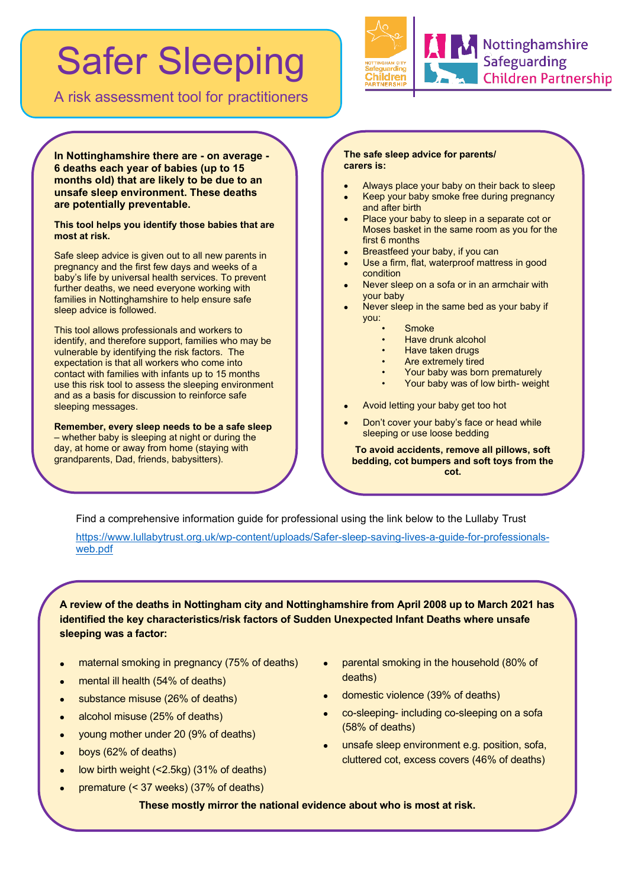# Safer Sleeping

A risk assessment tool for practitioners



**In Nottinghamshire there are - on average - 6 deaths each year of babies (up to 15 months old) that are likely to be due to an unsafe sleep environment. These deaths are potentially preventable.** 

**This tool helps you identify those babies that are most at risk.** 

Safe sleep advice is given out to all new parents in pregnancy and the first few days and weeks of a baby's life by universal health services. To prevent further deaths, we need everyone working with families in Nottinghamshire to help ensure safe sleep advice is followed.

This tool allows professionals and workers to identify, and therefore support, families who may be vulnerable by identifying the risk factors. The expectation is that all workers who come into contact with families with infants up to 15 months use this risk tool to assess the sleeping environment and as a basis for discussion to reinforce safe sleeping messages.

**Remember, every sleep needs to be a safe sleep** – whether baby is sleeping at night or during the day, at home or away from home (staying with grandparents, Dad, friends, babysitters).

#### **The safe sleep advice for parents/ carers is:**

- Always place your baby on their back to sleep
- Keep your baby smoke free during pregnancy and after birth
- Place your baby to sleep in a separate cot or Moses basket in the same room as you for the first 6 months
- Breastfeed your baby, if you can
- Use a firm, flat, waterproof mattress in good condition
- Never sleep on a sofa or in an armchair with your baby
- Never sleep in the same bed as your baby if you:
	- Smoke
	- Have drunk alcohol
	- Have taken drugs
	- Are extremely tired
	- Your baby was born prematurely
	- Your baby was of low birth- weight
- Avoid letting your baby get too hot
- Don't cover your baby's face or head while sleeping or use loose bedding

**To avoid accidents, remove all pillows, soft bedding, cot bumpers and soft toys from the cot.**

Find a comprehensive information guide for professional using the link below to the Lullaby Trust

[https://www.lullabytrust.org.uk/wp-content/uploads/Safer-sleep-saving-lives-a-guide-for-professionals](https://www.lullabytrust.org.uk/wp-content/uploads/Safer-sleep-saving-lives-a-guide-for-professionals-web.pdf)[web.pdf](https://www.lullabytrust.org.uk/wp-content/uploads/Safer-sleep-saving-lives-a-guide-for-professionals-web.pdf)

**A review of the deaths in Nottingham city and Nottinghamshire from April 2008 up to March 2021 has identified the key characteristics/risk factors of Sudden Unexpected Infant Deaths where unsafe sleeping was a factor:**

- maternal smoking in pregnancy (75% of deaths)
- mental ill health (54% of deaths)
- substance misuse (26% of deaths)
- alcohol misuse (25% of deaths)
- young mother under 20 (9% of deaths)
- boys (62% of deaths)
- low birth weight (<2.5kg) (31% of deaths)
- premature (< 37 weeks) (37% of deaths)
- parental smoking in the household (80% of deaths)
- domestic violence (39% of deaths)
- co-sleeping- including co-sleeping on a sofa (58% of deaths)
- unsafe sleep environment e.g. position, sofa, cluttered cot, excess covers (46% of deaths)

**These mostly mirror the national evidence about who is most at risk.**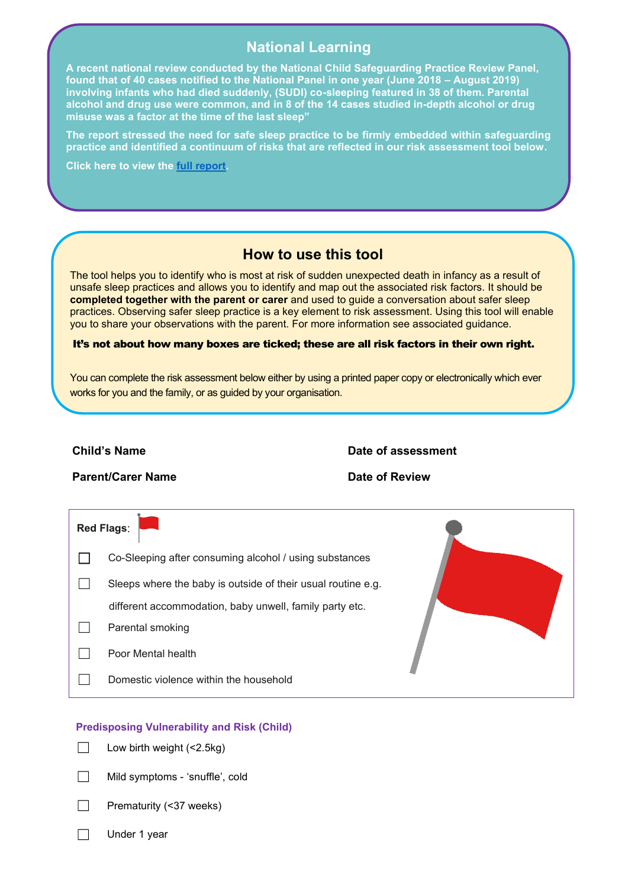## **National Learning**

**A recent national review conducted by the National Child Safeguarding Practice Review Panel, found that of 40 cases notified to the National Panel in one year (June 2018 – August 2019) involving infants who had died suddenly, (SUDI) co-sleeping featured in 38 of them. Parental alcohol and drug use were common, and in 8 of the 14 cases studied in-depth alcohol or drug misuse was a factor at the time of the last sleep"** 

**The report stressed the need for safe sleep practice to be firmly embedded within safeguarding practice and identified a continuum of risks that are reflected in our risk assessment tool below.**

**Click here to view the [full report.](https://assets.publishing.service.gov.uk/government/uploads/system/uploads/attachment_data/file/901091/DfE_Death_in_infancy_review.pdf)** 

### **How to use this tool**

**How to use the tool** you to share your observations with the parent. For more information see associated guidance. The tool helps you to identify who is most at risk of sudden unexpected death in infancy as a result of unsafe sleep practices and allows you to identify and map out the associated risk factors. It should be **completed together with the parent or carer** and used to guide a conversation about safer sleep practices. Observing safer sleep practice is a key element to risk assessment. Using this tool will enable

#### It's not about how many boxes are ticked; these are all risk factors in their own right.

You can complete the risk assessment below either by using a printed paper copy or electronically which ever works for you and the family, or as guided by your organisation.

#### **Child's Name Date of assessment**

**Parent/Carer Name Cares and Date of Review** 

| <b>Red Flags:</b>                                            |  |
|--------------------------------------------------------------|--|
| Co-Sleeping after consuming alcohol / using substances       |  |
| Sleeps where the baby is outside of their usual routine e.g. |  |
| different accommodation, baby unwell, family party etc.      |  |
| Parental smoking                                             |  |
| Poor Mental health                                           |  |
| Domestic violence within the household                       |  |

#### **Predisposing Vulnerability and Risk (Child)**

- $\Box$  Low birth weight (<2.5kg)
- ☐ Mild symptoms 'snuffle', cold
- Prematurity (<37 weeks)
- ☐ Under 1 year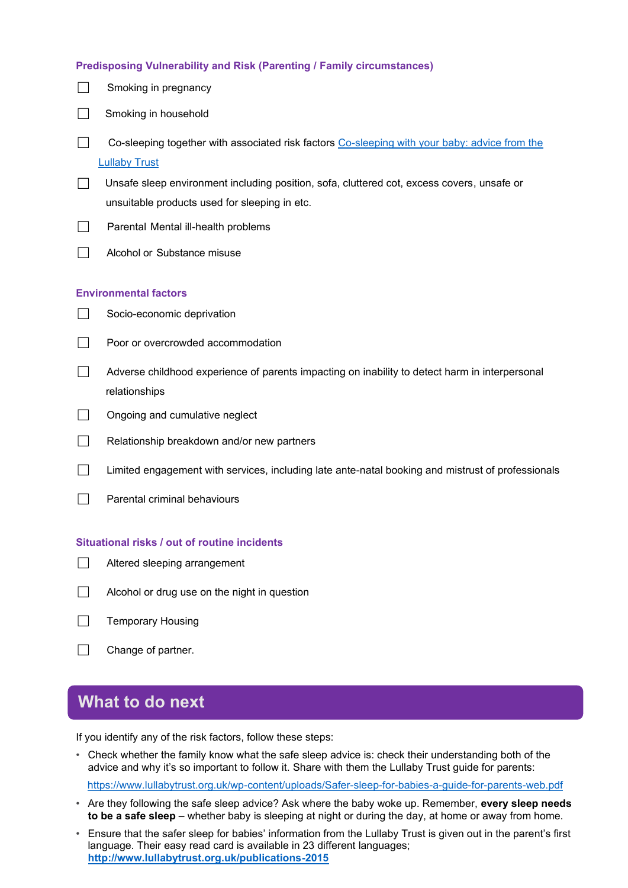|  |  | Predisposing Vulnerability and Risk (Parenting / Family circumstances) |
|--|--|------------------------------------------------------------------------|

- $\Box$  Smoking in pregnancy
- □ Smoking in household
- □ Co-sleeping together with associated risk factors Co-sleeping with your baby: advice from the [Lullaby Trust](https://www.lullabytrust.org.uk/safer-sleep-advice/co-sleeping/)
- ☐ Unsafe sleep environment including position, sofa, cluttered cot, excess covers, unsafe or unsuitable products used for sleeping in etc.
- $\Box$  Parental Mental ill-health problems
- ☐ Alcohol or Substance misuse

### **Environmental factors**

- $\Box$  Socio-economic deprivation
- ☐ Poor or overcrowded accommodation
- ☐ Adverse childhood experience of parents impacting on inability to detect harm in interpersonal relationships
- □ Ongoing and cumulative neglect
- ☐ Relationship breakdown and/or new partners
- ☐ Limited engagement with services, including late ante-natal booking and mistrust of professionals
- $\Box$  Parental criminal behaviours

### **Situational risks / out of routine incidents**

- ☐ Altered sleeping arrangement
- ☐ Alcohol or drug use on the night in question
- ☐ Temporary Housing
- □ Change of partner.

# **What to do next**

If you identify any of the risk factors, follow these steps:

• Check whether the family know what the safe sleep advice is: check their understanding both of the advice and why it's so important to follow it. Share with them the Lullaby Trust guide for parents:

<https://www.lullabytrust.org.uk/wp-content/uploads/Safer-sleep-for-babies-a-guide-for-parents-web.pdf>

- Are they following the safe sleep advice? Ask where the baby woke up. Remember, **every sleep needs to be a safe sleep** – whether baby is sleeping at night or during the day, at home or away from home.
- Ensure that the safer sleep for babies' information from the Lullaby Trust is given out in the parent's first language. Their easy read card is available in 23 different languages; **<http://www.lullabytrust.org.uk/publications-2015>**